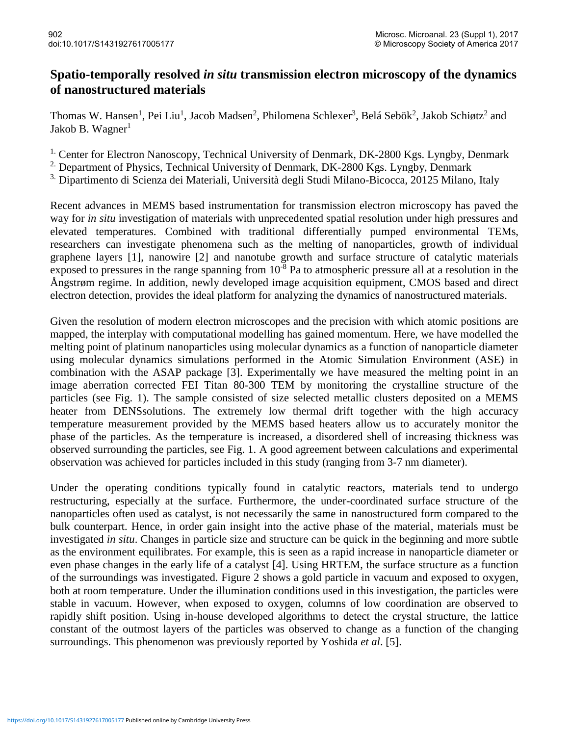## **Spatio-temporally resolved** *in situ* **transmission electron microscopy of the dynamics of nanostructured materials**

Thomas W. Hansen<sup>1</sup>, Pei Liu<sup>1</sup>, Jacob Madsen<sup>2</sup>, Philomena Schlexer<sup>3</sup>, Belá Sebök<sup>2</sup>, Jakob Schiøtz<sup>2</sup> and Jakob B. Wagner $<sup>1</sup>$ </sup>

<sup>1.</sup> Center for Electron Nanoscopy, Technical University of Denmark, DK-2800 Kgs. Lyngby, Denmark

<sup>2.</sup> Department of Physics, Technical University of Denmark, DK-2800 Kgs. Lyngby, Denmark

<sup>3.</sup> Dipartimento di Scienza dei Materiali, Università degli Studi Milano-Bicocca, 20125 Milano, Italy

Recent advances in MEMS based instrumentation for transmission electron microscopy has paved the way for *in situ* investigation of materials with unprecedented spatial resolution under high pressures and elevated temperatures. Combined with traditional differentially pumped environmental TEMs, researchers can investigate phenomena such as the melting of nanoparticles, growth of individual graphene layers [1], nanowire [2] and nanotube growth and surface structure of catalytic materials exposed to pressures in the range spanning from  $10^{-8}$  Pa to atmospheric pressure all at a resolution in the Ångstrøm regime. In addition, newly developed image acquisition equipment, CMOS based and direct electron detection, provides the ideal platform for analyzing the dynamics of nanostructured materials.

Given the resolution of modern electron microscopes and the precision with which atomic positions are mapped, the interplay with computational modelling has gained momentum. Here, we have modelled the melting point of platinum nanoparticles using molecular dynamics as a function of nanoparticle diameter using molecular dynamics simulations performed in the Atomic Simulation Environment (ASE) in combination with the ASAP package [3]. Experimentally we have measured the melting point in an image aberration corrected FEI Titan 80-300 TEM by monitoring the crystalline structure of the particles (see Fig. 1). The sample consisted of size selected metallic clusters deposited on a MEMS heater from DENS solutions. The extremely low thermal drift together with the high accuracy temperature measurement provided by the MEMS based heaters allow us to accurately monitor the phase of the particles. As the temperature is increased, a disordered shell of increasing thickness was observed surrounding the particles, see Fig. 1. A good agreement between calculations and experimental observation was achieved for particles included in this study (ranging from 3-7 nm diameter).

Under the operating conditions typically found in catalytic reactors, materials tend to undergo restructuring, especially at the surface. Furthermore, the under-coordinated surface structure of the nanoparticles often used as catalyst, is not necessarily the same in nanostructured form compared to the bulk counterpart. Hence, in order gain insight into the active phase of the material, materials must be investigated *in situ*. Changes in particle size and structure can be quick in the beginning and more subtle as the environment equilibrates. For example, this is seen as a rapid increase in nanoparticle diameter or even phase changes in the early life of a catalyst [4]. Using HRTEM, the surface structure as a function of the surroundings was investigated. Figure 2 shows a gold particle in vacuum and exposed to oxygen, both at room temperature. Under the illumination conditions used in this investigation, the particles were stable in vacuum. However, when exposed to oxygen, columns of low coordination are observed to rapidly shift position. Using in-house developed algorithms to detect the crystal structure, the lattice constant of the outmost layers of the particles was observed to change as a function of the changing surroundings. This phenomenon was previously reported by Yoshida *et al*. [5].